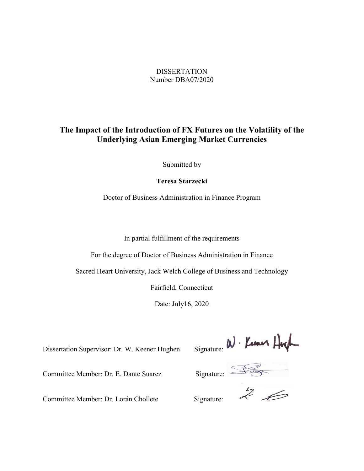# DISSERTATION Number DBA07/2020

# **The Impact of the Introduction of FX Futures on the Volatility of the Underlying Asian Emerging Market Currencies**

Submitted by

**Teresa Starzecki**

Doctor of Business Administration in Finance Program

In partial fulfillment of the requirements

For the degree of Doctor of Business Administration in Finance

Sacred Heart University, Jack Welch College of Business and Technology

Fairfield, Connecticut

Date: July16, 2020

Dissertation Supervisor: Dr. W. Keener Hughen Signature:  $\mathcal{W} \cdot \mathcal{L}$ <br>Committee Member: Dr. E. Dante Suarez Signature:  $\frac{1}{2}$ 

Committee Member: Dr. Lorán Chollete

Committee Member: Dr. E. Dante Suarez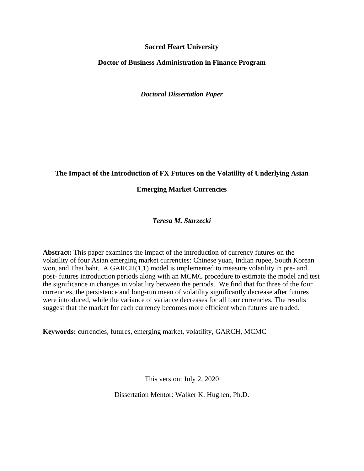## **Sacred Heart University**

## **Doctor of Business Administration in Finance Program**

*Doctoral Dissertation Paper*

# **The Impact of the Introduction of FX Futures on the Volatility of Underlying Asian**

# **Emerging Market Currencies**

# *Teresa M. Starzecki*

**Abstract:** This paper examines the impact of the introduction of currency futures on the volatility of four Asian emerging market currencies: Chinese yuan, Indian rupee, South Korean won, and Thai baht. A GARCH(1,1) model is implemented to measure volatility in pre- and post- futures introduction periods along with an MCMC procedure to estimate the model and test the significance in changes in volatility between the periods. We find that for three of the four currencies, the persistence and long-run mean of volatility significantly decrease after futures were introduced, while the variance of variance decreases for all four currencies. The results suggest that the market for each currency becomes more efficient when futures are traded.

**Keywords:** currencies, futures, emerging market, volatility, GARCH, MCMC

This version: July 2, 2020

Dissertation Mentor: Walker K. Hughen, Ph.D.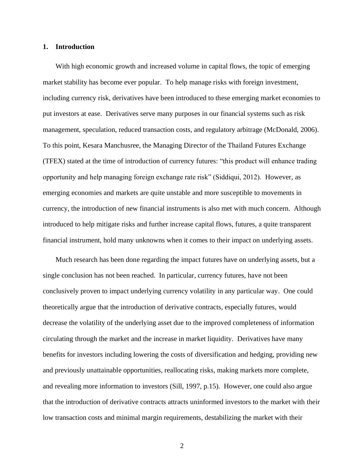#### **1. Introduction**

With high economic growth and increased volume in capital flows, the topic of emerging market stability has become ever popular. To help manage risks with foreign investment, including currency risk, derivatives have been introduced to these emerging market economies to put investors at ease. Derivatives serve many purposes in our financial systems such as risk management, speculation, reduced transaction costs, and regulatory arbitrage (McDonald, 2006). To this point, Kesara Manchusree, the Managing Director of the Thailand Futures Exchange (TFEX) stated at the time of introduction of currency futures: "this product will enhance trading opportunity and help managing foreign exchange rate risk" (Siddiqui, 2012). However, as emerging economies and markets are quite unstable and more susceptible to movements in currency, the introduction of new financial instruments is also met with much concern. Although introduced to help mitigate risks and further increase capital flows, futures, a quite transparent financial instrument, hold many unknowns when it comes to their impact on underlying assets.

Much research has been done regarding the impact futures have on underlying assets, but a single conclusion has not been reached. In particular, currency futures, have not been conclusively proven to impact underlying currency volatility in any particular way. One could theoretically argue that the introduction of derivative contracts, especially futures, would decrease the volatility of the underlying asset due to the improved completeness of information circulating through the market and the increase in market liquidity. Derivatives have many benefits for investors including lowering the costs of diversification and hedging, providing new and previously unattainable opportunities, reallocating risks, making markets more complete, and revealing more information to investors (Sill, 1997, p.15). However, one could also argue that the introduction of derivative contracts attracts uninformed investors to the market with their low transaction costs and minimal margin requirements, destabilizing the market with their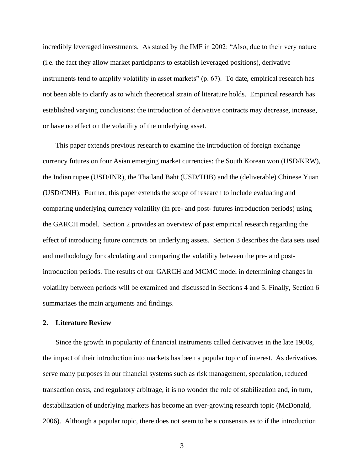incredibly leveraged investments. As stated by the IMF in 2002: "Also, due to their very nature (i.e. the fact they allow market participants to establish leveraged positions), derivative instruments tend to amplify volatility in asset markets" (p. 67). To date, empirical research has not been able to clarify as to which theoretical strain of literature holds. Empirical research has established varying conclusions: the introduction of derivative contracts may decrease, increase, or have no effect on the volatility of the underlying asset.

This paper extends previous research to examine the introduction of foreign exchange currency futures on four Asian emerging market currencies: the South Korean won (USD/KRW), the Indian rupee (USD/INR), the Thailand Baht (USD/THB) and the (deliverable) Chinese Yuan (USD/CNH). Further, this paper extends the scope of research to include evaluating and comparing underlying currency volatility (in pre- and post- futures introduction periods) using the GARCH model. Section [2](#page-3-0) provides an overview of past empirical research regarding the effect of introducing future contracts on underlying assets. Section [3](#page-9-0) describes the data sets used and methodology for calculating and comparing the volatility between the pre- and postintroduction periods. The results of our GARCH and MCMC model in determining changes in volatility between periods will be examined and discussed in Sections 4 and 5. Finally, Section 6 summarizes the main arguments and findings.

## <span id="page-3-0"></span>**2. Literature Review**

Since the growth in popularity of financial instruments called derivatives in the late 1900s, the impact of their introduction into markets has been a popular topic of interest. As derivatives serve many purposes in our financial systems such as risk management, speculation, reduced transaction costs, and regulatory arbitrage, it is no wonder the role of stabilization and, in turn, destabilization of underlying markets has become an ever-growing research topic (McDonald, 2006). Although a popular topic, there does not seem to be a consensus as to if the introduction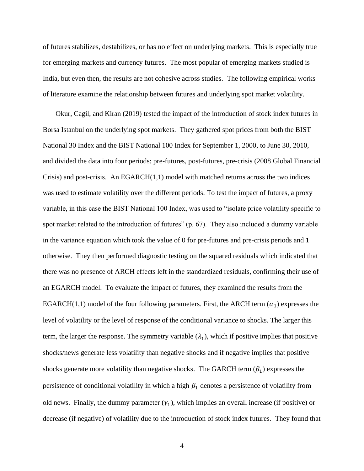of futures stabilizes, destabilizes, or has no effect on underlying markets. This is especially true for emerging markets and currency futures. The most popular of emerging markets studied is India, but even then, the results are not cohesive across studies. The following empirical works of literature examine the relationship between futures and underlying spot market volatility.

Okur, Cagil, and Kiran (2019) tested the impact of the introduction of stock index futures in Borsa Istanbul on the underlying spot markets. They gathered spot prices from both the BIST National 30 Index and the BIST National 100 Index for September 1, 2000, to June 30, 2010, and divided the data into four periods: pre-futures, post-futures, pre-crisis (2008 Global Financial Crisis) and post-crisis. An  $EGARCH(1,1)$  model with matched returns across the two indices was used to estimate volatility over the different periods. To test the impact of futures, a proxy variable, in this case the BIST National 100 Index, was used to "isolate price volatility specific to spot market related to the introduction of futures" (p. 67). They also included a dummy variable in the variance equation which took the value of 0 for pre-futures and pre-crisis periods and 1 otherwise. They then performed diagnostic testing on the squared residuals which indicated that there was no presence of ARCH effects left in the standardized residuals, confirming their use of an EGARCH model. To evaluate the impact of futures, they examined the results from the EGARCH(1,1) model of the four following parameters. First, the ARCH term  $(\alpha_1)$  expresses the level of volatility or the level of response of the conditional variance to shocks. The larger this term, the larger the response. The symmetry variable  $(\lambda_1)$ , which if positive implies that positive shocks/news generate less volatility than negative shocks and if negative implies that positive shocks generate more volatility than negative shocks. The GARCH term  $(\beta_1)$  expresses the persistence of conditional volatility in which a high  $\beta_1$  denotes a persistence of volatility from old news. Finally, the dummy parameter  $(\gamma_1)$ , which implies an overall increase (if positive) or decrease (if negative) of volatility due to the introduction of stock index futures. They found that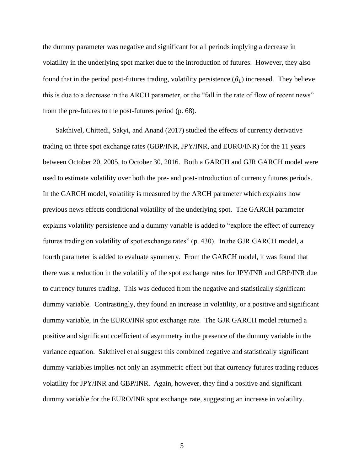the dummy parameter was negative and significant for all periods implying a decrease in volatility in the underlying spot market due to the introduction of futures. However, they also found that in the period post-futures trading, volatility persistence  $(\beta_1)$  increased. They believe this is due to a decrease in the ARCH parameter, or the "fall in the rate of flow of recent news" from the pre-futures to the post-futures period (p. 68).

Sakthivel, Chittedi, Sakyi, and Anand (2017) studied the effects of currency derivative trading on three spot exchange rates (GBP/INR, JPY/INR, and EURO/INR) for the 11 years between October 20, 2005, to October 30, 2016. Both a GARCH and GJR GARCH model were used to estimate volatility over both the pre- and post-introduction of currency futures periods. In the GARCH model, volatility is measured by the ARCH parameter which explains how previous news effects conditional volatility of the underlying spot. The GARCH parameter explains volatility persistence and a dummy variable is added to "explore the effect of currency futures trading on volatility of spot exchange rates" (p. 430). In the GJR GARCH model, a fourth parameter is added to evaluate symmetry. From the GARCH model, it was found that there was a reduction in the volatility of the spot exchange rates for JPY/INR and GBP/INR due to currency futures trading. This was deduced from the negative and statistically significant dummy variable. Contrastingly, they found an increase in volatility, or a positive and significant dummy variable, in the EURO/INR spot exchange rate. The GJR GARCH model returned a positive and significant coefficient of asymmetry in the presence of the dummy variable in the variance equation. Sakthivel et al suggest this combined negative and statistically significant dummy variables implies not only an asymmetric effect but that currency futures trading reduces volatility for JPY/INR and GBP/INR. Again, however, they find a positive and significant dummy variable for the EURO/INR spot exchange rate, suggesting an increase in volatility.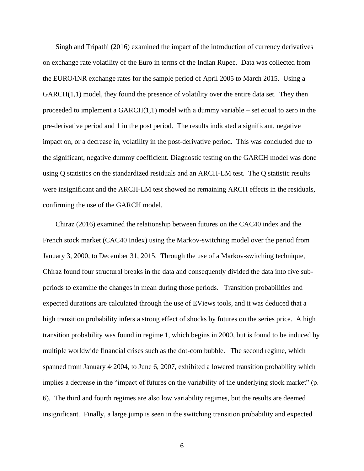Singh and Tripathi (2016) examined the impact of the introduction of currency derivatives on exchange rate volatility of the Euro in terms of the Indian Rupee. Data was collected from the EURO/INR exchange rates for the sample period of April 2005 to March 2015. Using a GARCH(1,1) model, they found the presence of volatility over the entire data set. They then proceeded to implement a  $GARCH(1,1)$  model with a dummy variable – set equal to zero in the pre-derivative period and 1 in the post period. The results indicated a significant, negative impact on, or a decrease in, volatility in the post-derivative period. This was concluded due to the significant, negative dummy coefficient. Diagnostic testing on the GARCH model was done using Q statistics on the standardized residuals and an ARCH-LM test. The Q statistic results were insignificant and the ARCH-LM test showed no remaining ARCH effects in the residuals, confirming the use of the GARCH model.

Chiraz (2016) examined the relationship between futures on the CAC40 index and the French stock market (CAC40 Index) using the Markov-switching model over the period from January 3, 2000, to December 31, 2015. Through the use of a Markov-switching technique, Chiraz found four structural breaks in the data and consequently divided the data into five subperiods to examine the changes in mean during those periods. Transition probabilities and expected durations are calculated through the use of EViews tools, and it was deduced that a high transition probability infers a strong effect of shocks by futures on the series price. A high transition probability was found in regime 1, which begins in 2000, but is found to be induced by multiple worldwide financial crises such as the dot-com bubble. The second regime, which spanned from January 4<sup>,</sup> 2004, to June 6, 2007, exhibited a lowered transition probability which implies a decrease in the "impact of futures on the variability of the underlying stock market" (p. 6). The third and fourth regimes are also low variability regimes, but the results are deemed insignificant. Finally, a large jump is seen in the switching transition probability and expected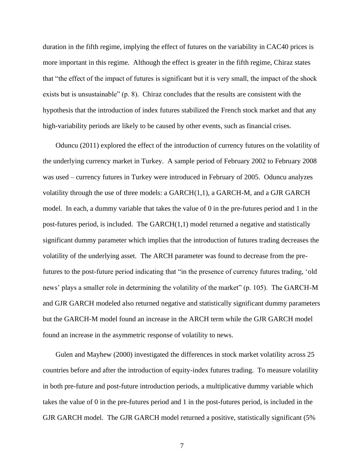duration in the fifth regime, implying the effect of futures on the variability in CAC40 prices is more important in this regime. Although the effect is greater in the fifth regime, Chiraz states that "the effect of the impact of futures is significant but it is very small, the impact of the shock exists but is unsustainable" (p. 8). Chiraz concludes that the results are consistent with the hypothesis that the introduction of index futures stabilized the French stock market and that any high-variability periods are likely to be caused by other events, such as financial crises.

Oduncu (2011) explored the effect of the introduction of currency futures on the volatility of the underlying currency market in Turkey. A sample period of February 2002 to February 2008 was used – currency futures in Turkey were introduced in February of 2005. Oduncu analyzes volatility through the use of three models: a  $GARCH(1,1)$ , a  $GARCH-M$ , and a  $GIR$   $GARCH$ model. In each, a dummy variable that takes the value of 0 in the pre-futures period and 1 in the post-futures period, is included. The GARCH(1,1) model returned a negative and statistically significant dummy parameter which implies that the introduction of futures trading decreases the volatility of the underlying asset. The ARCH parameter was found to decrease from the prefutures to the post-future period indicating that "in the presence of currency futures trading, 'old news' plays a smaller role in determining the volatility of the market" (p. 105). The GARCH-M and GJR GARCH modeled also returned negative and statistically significant dummy parameters but the GARCH-M model found an increase in the ARCH term while the GJR GARCH model found an increase in the asymmetric response of volatility to news.

Gulen and Mayhew (2000) investigated the differences in stock market volatility across 25 countries before and after the introduction of equity-index futures trading. To measure volatility in both pre-future and post-future introduction periods, a multiplicative dummy variable which takes the value of 0 in the pre-futures period and 1 in the post-futures period, is included in the GJR GARCH model. The GJR GARCH model returned a positive, statistically significant (5%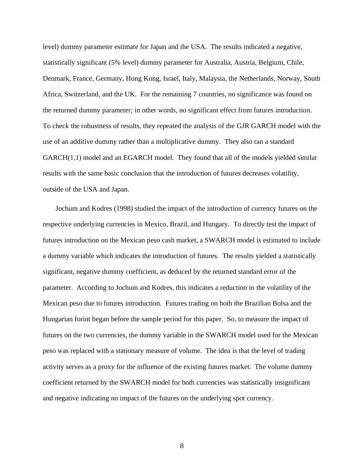level) dummy parameter estimate for Japan and the USA. The results indicated a negative, statistically significant (5% level) dummy parameter for Australia, Austria, Belgium, Chile, Denmark, France, Germany, Hong Kong, Israel, Italy, Malaysia, the Netherlands, Norway, South Africa, Switzerland, and the UK. For the remaining 7 countries, no significance was found on the returned dummy parameter; in other words, no significant effect from futures introduction. To check the robustness of results, they repeated the analysis of the GJR GARCH model with the use of an additive dummy rather than a multiplicative dummy. They also ran a standard GARCH(1,1) model and an EGARCH model. They found that all of the models yielded similar results with the same basic conclusion that the introduction of futures decreases volatility, outside of the USA and Japan.

Jochum and Kodres (1998) studied the impact of the introduction of currency futures on the respective underlying currencies in Mexico, Brazil, and Hungary. To directly test the impact of futures introduction on the Mexican peso cash market, a SWARCH model is estimated to include a dummy variable which indicates the introduction of futures. The results yielded a statistically significant, negative dummy coefficient, as deduced by the returned standard error of the parameter. According to Jochum and Kodres, this indicates a reduction in the volatility of the Mexican peso due to futures introduction. Futures trading on both the Brazilian Bolsa and the Hungarian forint began before the sample period for this paper. So, to measure the impact of futures on the two currencies, the dummy variable in the SWARCH model used for the Mexican peso was replaced with a stationary measure of volume. The idea is that the level of trading activity serves as a proxy for the influence of the existing futures market. The volume dummy coefficient returned by the SWARCH model for both currencies was statistically insignificant and negative indicating no impact of the futures on the underlying spot currency.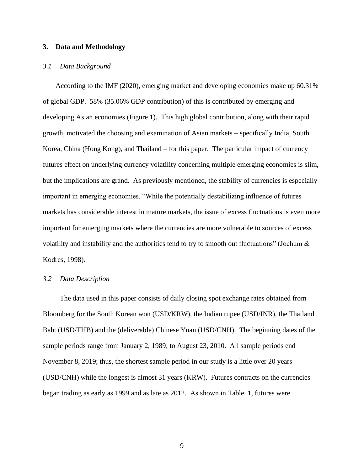## <span id="page-9-0"></span>**3. Data and Methodology**

#### *3.1 Data Background*

According to the IMF (2020), emerging market and developing economies make up 60.31% of global GDP. 58% (35.06% GDP contribution) of this is contributed by emerging and developing Asian economies [\(Figure 1\)](#page-23-0). This high global contribution, along with their rapid growth, motivated the choosing and examination of Asian markets – specifically India, South Korea, China (Hong Kong), and Thailand – for this paper. The particular impact of currency futures effect on underlying currency volatility concerning multiple emerging economies is slim, but the implications are grand. As previously mentioned, the stability of currencies is especially important in emerging economies. "While the potentially destabilizing influence of futures markets has considerable interest in mature markets, the issue of excess fluctuations is even more important for emerging markets where the currencies are more vulnerable to sources of excess volatility and instability and the authorities tend to try to smooth out fluctuations" (Jochum  $\&$ Kodres, 1998).

## *3.2 Data Description*

The data used in this paper consists of daily closing spot exchange rates obtained from Bloomberg for the South Korean won (USD/KRW), the Indian rupee (USD/INR), the Thailand Baht (USD/THB) and the (deliverable) Chinese Yuan (USD/CNH). The beginning dates of the sample periods range from January 2, 1989, to August 23, 2010. All sample periods end November 8, 2019; thus, the shortest sample period in our study is a little over 20 years (USD/CNH) while the longest is almost 31 years (KRW). Futures contracts on the currencies began trading as early as 1999 and as late as 2012. As shown in [Table 1,](#page-23-1) futures were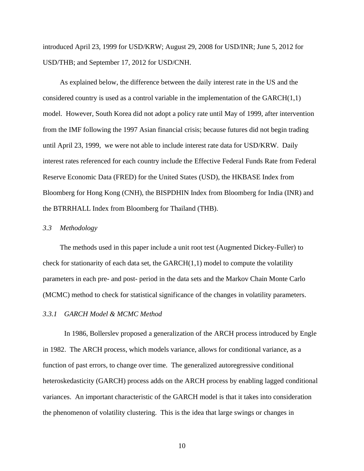introduced April 23, 1999 for USD/KRW; August 29, 2008 for USD/INR; June 5, 2012 for USD/THB; and September 17, 2012 for USD/CNH.

As explained below, the difference between the daily interest rate in the US and the considered country is used as a control variable in the implementation of the  $GARCH(1,1)$ model. However, South Korea did not adopt a policy rate until May of 1999, after intervention from the IMF following the 1997 Asian financial crisis; because futures did not begin trading until April 23, 1999, we were not able to include interest rate data for USD/KRW. Daily interest rates referenced for each country include the Effective Federal Funds Rate from Federal Reserve Economic Data (FRED) for the United States (USD), the HKBASE Index from Bloomberg for Hong Kong (CNH), the BISPDHIN Index from Bloomberg for India (INR) and the BTRRHALL Index from Bloomberg for Thailand (THB).

#### *3.3 Methodology*

The methods used in this paper include a unit root test (Augmented Dickey-Fuller) to check for stationarity of each data set, the  $GARCH(1,1)$  model to compute the volatility parameters in each pre- and post- period in the data sets and the Markov Chain Monte Carlo (MCMC) method to check for statistical significance of the changes in volatility parameters.

## *3.3.1 GARCH Model & MCMC Method*

In 1986, Bollerslev proposed a generalization of the ARCH process introduced by Engle in 1982. The ARCH process, which models variance, allows for conditional variance, as a function of past errors, to change over time. The generalized autoregressive conditional heteroskedasticity (GARCH) process adds on the ARCH process by enabling lagged conditional variances. An important characteristic of the GARCH model is that it takes into consideration the phenomenon of volatility clustering. This is the idea that large swings or changes in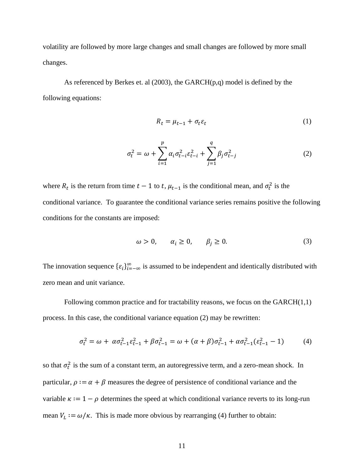volatility are followed by more large changes and small changes are followed by more small changes.

As referenced by Berkes et. al  $(2003)$ , the GARCH $(p,q)$  model is defined by the following equations:

$$
R_t = \mu_{t-1} + \sigma_t \varepsilon_t \tag{1}
$$

$$
\sigma_t^2 = \omega + \sum_{i=1}^p \alpha_i \sigma_{t-i}^2 \varepsilon_{t-i}^2 + \sum_{j=1}^q \beta_j \sigma_{t-j}^2
$$
 (2)

where  $R_t$  is the return from time  $t-1$  to t,  $\mu_{t-1}$  is the conditional mean, and  $\sigma_t^2$  is the conditional variance. To guarantee the conditional variance series remains positive the following conditions for the constants are imposed:

$$
\omega > 0, \qquad \alpha_i \ge 0, \qquad \beta_j \ge 0. \tag{3}
$$

The innovation sequence  $\{\varepsilon_i\}_{i=-\infty}^{\infty}$  is assumed to be independent and identically distributed with zero mean and unit variance.

Following common practice and for tractability reasons, we focus on the  $GARCH(1,1)$ process. In this case, the conditional variance equation (2) may be rewritten:

$$
\sigma_t^2 = \omega + \alpha \sigma_{t-1}^2 \varepsilon_{t-1}^2 + \beta \sigma_{t-1}^2 = \omega + (\alpha + \beta) \sigma_{t-1}^2 + \alpha \sigma_{t-1}^2 (\varepsilon_{t-1}^2 - 1) \tag{4}
$$

so that  $\sigma_t^2$  is the sum of a constant term, an autoregressive term, and a zero-mean shock. In particular,  $\rho := \alpha + \beta$  measures the degree of persistence of conditional variance and the variable  $\kappa := 1 - \rho$  determines the speed at which conditional variance reverts to its long-run mean  $V_L := \omega/\kappa$ . This is made more obvious by rearranging (4) further to obtain: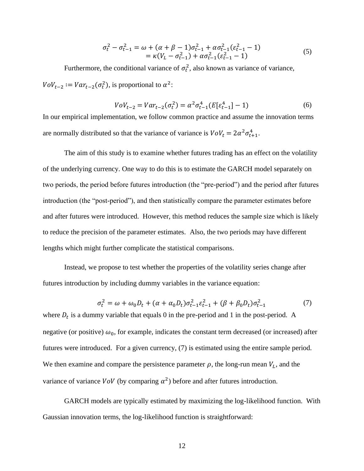$$
\sigma_t^2 - \sigma_{t-1}^2 = \omega + (\alpha + \beta - 1)\sigma_{t-1}^2 + \alpha \sigma_{t-1}^2 (\varepsilon_{t-1}^2 - 1)
$$
  
=  $\kappa (V_L - \sigma_{t-1}^2) + \alpha \sigma_{t-1}^2 (\varepsilon_{t-1}^2 - 1)$  (5)

Furthermore, the conditional variance of  $\sigma_t^2$ , also known as variance of variance,  $Vov_{t-2} := Var_{t-2}(\sigma_t^2)$ , is proportional to  $\alpha^2$ :

$$
V o V_{t-2} = Var_{t-2}(\sigma_t^2) = \alpha^2 \sigma_{t-1}^4 (E[\varepsilon_{t-1}^4] - 1)
$$
 (6)

In our empirical implementation, we follow common practice and assume the innovation terms are normally distributed so that the variance of variance is  $V \cdot V_t = 2\alpha^2 \sigma_{t+1}^4$ .

The aim of this study is to examine whether futures trading has an effect on the volatility of the underlying currency. One way to do this is to estimate the GARCH model separately on two periods, the period before futures introduction (the "pre-period") and the period after futures introduction (the "post-period"), and then statistically compare the parameter estimates before and after futures were introduced. However, this method reduces the sample size which is likely to reduce the precision of the parameter estimates. Also, the two periods may have different lengths which might further complicate the statistical comparisons.

Instead, we propose to test whether the properties of the volatility series change after futures introduction by including dummy variables in the variance equation:

$$
\sigma_t^2 = \omega + \omega_0 D_t + (\alpha + \alpha_0 D_t) \sigma_{t-1}^2 \varepsilon_{t-1}^2 + (\beta + \beta_0 D_t) \sigma_{t-1}^2 \tag{7}
$$

where  $D_t$  is a dummy variable that equals 0 in the pre-period and 1 in the post-period. A negative (or positive)  $\omega_0$ , for example, indicates the constant term decreased (or increased) after futures were introduced. For a given currency, (7) is estimated using the entire sample period. We then examine and compare the persistence parameter  $\rho$ , the long-run mean  $V_L$ , and the variance of variance  $\text{VoV}$  (by comparing  $\alpha^2$ ) before and after futures introduction.

GARCH models are typically estimated by maximizing the log-likelihood function. With Gaussian innovation terms, the log-likelihood function is straightforward: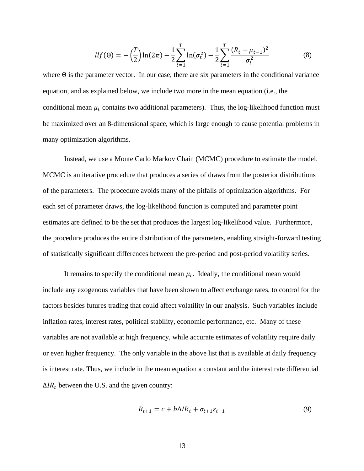$$
llf(\Theta) = -\left(\frac{T}{2}\right)ln(2\pi) - \frac{1}{2}\sum_{t=1}^{T} ln(\sigma_t^2) - \frac{1}{2}\sum_{t=1}^{T} \frac{(R_t - \mu_{t-1})^2}{\sigma_t^2}
$$
(8)

where  $\Theta$  is the parameter vector. In our case, there are six parameters in the conditional variance equation, and as explained below, we include two more in the mean equation (i.e., the conditional mean  $\mu_t$  contains two additional parameters). Thus, the log-likelihood function must be maximized over an 8-dimensional space, which is large enough to cause potential problems in many optimization algorithms.

Instead, we use a Monte Carlo Markov Chain (MCMC) procedure to estimate the model. MCMC is an iterative procedure that produces a series of draws from the posterior distributions of the parameters. The procedure avoids many of the pitfalls of optimization algorithms. For each set of parameter draws, the log-likelihood function is computed and parameter point estimates are defined to be the set that produces the largest log-likelihood value. Furthermore, the procedure produces the entire distribution of the parameters, enabling straight-forward testing of statistically significant differences between the pre-period and post-period volatility series.

It remains to specify the conditional mean  $\mu_t$ . Ideally, the conditional mean would include any exogenous variables that have been shown to affect exchange rates, to control for the factors besides futures trading that could affect volatility in our analysis. Such variables include inflation rates, interest rates, political stability, economic performance, etc. Many of these variables are not available at high frequency, while accurate estimates of volatility require daily or even higher frequency. The only variable in the above list that is available at daily frequency is interest rate. Thus, we include in the mean equation a constant and the interest rate differential  $\Delta IR_t$  between the U.S. and the given country:

$$
R_{t+1} = c + b\Delta IR_t + \sigma_{t+1}\varepsilon_{t+1}
$$
\n<sup>(9)</sup>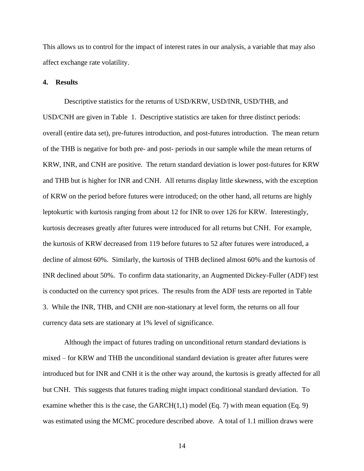This allows us to control for the impact of interest rates in our analysis, a variable that may also affect exchange rate volatility.

## **4. Results**

Descriptive statistics for the returns of USD/KRW, USD/INR, USD/THB, and USD/CNH are given in [Table 1.](#page-23-1) Descriptive statistics are taken for three distinct periods: overall (entire data set), pre-futures introduction, and post-futures introduction. The mean return of the THB is negative for both pre- and post- periods in our sample while the mean returns of KRW, INR, and CNH are positive. The return standard deviation is lower post-futures for KRW and THB but is higher for INR and CNH. All returns display little skewness, with the exception of KRW on the period before futures were introduced; on the other hand, all returns are highly leptokurtic with kurtosis ranging from about 12 for INR to over 126 for KRW. Interestingly, kurtosis decreases greatly after futures were introduced for all returns but CNH. For example, the kurtosis of KRW decreased from 119 before futures to 52 after futures were introduced, a decline of almost 60%. Similarly, the kurtosis of THB declined almost 60% and the kurtosis of INR declined about 50%. To confirm data stationarity, an Augmented Dickey-Fuller (ADF) test is conducted on the currency spot prices. The results from the ADF tests are reported in [Table](#page-24-0)  [3.](#page-24-0) While the INR, THB, and CNH are non-stationary at level form, the returns on all four currency data sets are stationary at 1% level of significance.

Although the impact of futures trading on unconditional return standard deviations is mixed – for KRW and THB the unconditional standard deviation is greater after futures were introduced but for INR and CNH it is the other way around, the kurtosis is greatly affected for all but CNH. This suggests that futures trading might impact conditional standard deviation. To examine whether this is the case, the  $GARCH(1,1)$  model (Eq. 7) with mean equation (Eq. 9) was estimated using the MCMC procedure described above. A total of 1.1 million draws were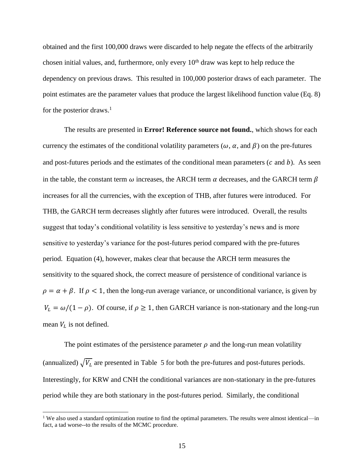obtained and the first 100,000 draws were discarded to help negate the effects of the arbitrarily chosen initial values, and, furthermore, only every  $10<sup>th</sup>$  draw was kept to help reduce the dependency on previous draws. This resulted in 100,000 posterior draws of each parameter. The point estimates are the parameter values that produce the largest likelihood function value (Eq. 8) for the posterior draws.<sup>1</sup>

The results are presented in **Error! Reference source not found.**, which shows for each currency the estimates of the conditional volatility parameters ( $\omega$ ,  $\alpha$ , and  $\beta$ ) on the pre-futures and post-futures periods and the estimates of the conditional mean parameters  $(c \text{ and } b)$ . As seen in the table, the constant term  $\omega$  increases, the ARCH term  $\alpha$  decreases, and the GARCH term  $\beta$ increases for all the currencies, with the exception of THB, after futures were introduced. For THB, the GARCH term decreases slightly after futures were introduced. Overall, the results suggest that today's conditional volatility is less sensitive to yesterday's news and is more sensitive to yesterday's variance for the post-futures period compared with the pre-futures period. Equation (4), however, makes clear that because the ARCH term measures the sensitivity to the squared shock, the correct measure of persistence of conditional variance is  $\rho = \alpha + \beta$ . If  $\rho < 1$ , then the long-run average variance, or unconditional variance, is given by  $V_L = \omega/(1 - \rho)$ . Of course, if  $\rho \ge 1$ , then GARCH variance is non-stationary and the long-run mean  $V_L$  is not defined.

The point estimates of the persistence parameter  $\rho$  and the long-run mean volatility (annualized)  $\sqrt{V_L}$  are presented in [Table 5](#page-25-0) for both the pre-futures and post-futures periods. Interestingly, for KRW and CNH the conditional variances are non-stationary in the pre-futures period while they are both stationary in the post-futures period. Similarly, the conditional

<sup>&</sup>lt;sup>1</sup> We also used a standard optimization routine to find the optimal parameters. The results were almost identical—in fact, a tad worse--to the results of the MCMC procedure.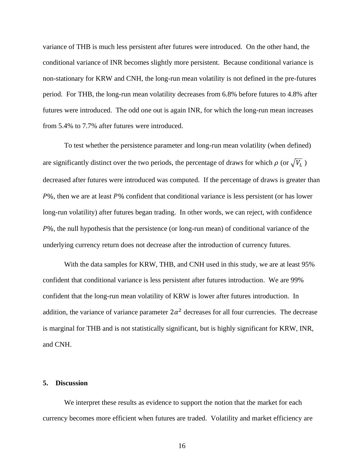variance of THB is much less persistent after futures were introduced. On the other hand, the conditional variance of INR becomes slightly more persistent. Because conditional variance is non-stationary for KRW and CNH, the long-run mean volatility is not defined in the pre-futures period. For THB, the long-run mean volatility decreases from 6.8% before futures to 4.8% after futures were introduced. The odd one out is again INR, for which the long-run mean increases from 5.4% to 7.7% after futures were introduced.

To test whether the persistence parameter and long-run mean volatility (when defined) are significantly distinct over the two periods, the percentage of draws for which  $\rho$  (or  $\sqrt{V_L}$ ) decreased after futures were introduced was computed. If the percentage of draws is greater than  $P\%$ , then we are at least  $P\%$  confident that conditional variance is less persistent (or has lower long-run volatility) after futures began trading. In other words, we can reject, with confidence  $P\%$ , the null hypothesis that the persistence (or long-run mean) of conditional variance of the underlying currency return does not decrease after the introduction of currency futures.

With the data samples for KRW, THB, and CNH used in this study, we are at least 95% confident that conditional variance is less persistent after futures introduction. We are 99% confident that the long-run mean volatility of KRW is lower after futures introduction. In addition, the variance of variance parameter  $2\alpha^2$  decreases for all four currencies. The decrease is marginal for THB and is not statistically significant, but is highly significant for KRW, INR, and CNH.

#### **5. Discussion**

We interpret these results as evidence to support the notion that the market for each currency becomes more efficient when futures are traded. Volatility and market efficiency are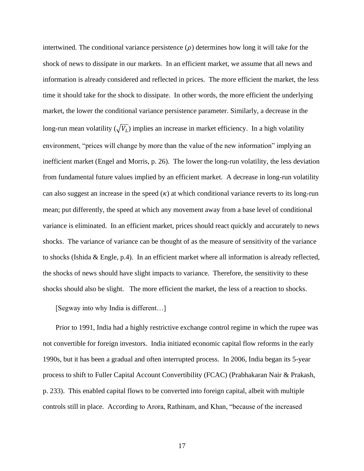intertwined. The conditional variance persistence  $(\rho)$  determines how long it will take for the shock of news to dissipate in our markets. In an efficient market, we assume that all news and information is already considered and reflected in prices. The more efficient the market, the less time it should take for the shock to dissipate. In other words, the more efficient the underlying market, the lower the conditional variance persistence parameter. Similarly, a decrease in the long-run mean volatility ( $\sqrt{V_L}$ ) implies an increase in market efficiency. In a high volatility environment, "prices will change by more than the value of the new information" implying an inefficient market (Engel and Morris, p. 26). The lower the long-run volatility, the less deviation from fundamental future values implied by an efficient market. A decrease in long-run volatility can also suggest an increase in the speed  $(\kappa)$  at which conditional variance reverts to its long-run mean; put differently, the speed at which any movement away from a base level of conditional variance is eliminated. In an efficient market, prices should react quickly and accurately to news shocks. The variance of variance can be thought of as the measure of sensitivity of the variance to shocks (Ishida & Engle, p.4). In an efficient market where all information is already reflected, the shocks of news should have slight impacts to variance. Therefore, the sensitivity to these shocks should also be slight. The more efficient the market, the less of a reaction to shocks.

[Segway into why India is different…]

Prior to 1991, India had a highly restrictive exchange control regime in which the rupee was not convertible for foreign investors. India initiated economic capital flow reforms in the early 1990s, but it has been a gradual and often interrupted process. In 2006, India began its 5-year process to shift to Fuller Capital Account Convertibility (FCAC) (Prabhakaran Nair & Prakash, p. 233). This enabled capital flows to be converted into foreign capital, albeit with multiple controls still in place. According to Arora, Rathinam, and Khan, "because of the increased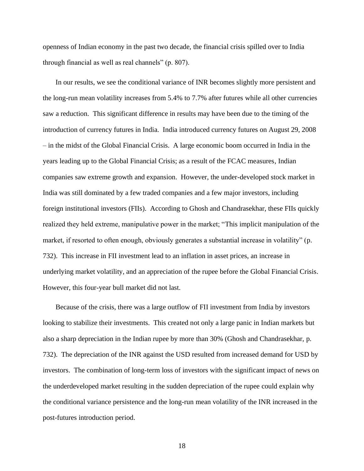openness of Indian economy in the past two decade, the financial crisis spilled over to India through financial as well as real channels" (p. 807).

In our results, we see the conditional variance of INR becomes slightly more persistent and the long-run mean volatility increases from 5.4% to 7.7% after futures while all other currencies saw a reduction. This significant difference in results may have been due to the timing of the introduction of currency futures in India. India introduced currency futures on August 29, 2008 – in the midst of the Global Financial Crisis. A large economic boom occurred in India in the years leading up to the Global Financial Crisis; as a result of the FCAC measures, Indian companies saw extreme growth and expansion. However, the under-developed stock market in India was still dominated by a few traded companies and a few major investors, including foreign institutional investors (FIIs). According to Ghosh and Chandrasekhar, these FIIs quickly realized they held extreme, manipulative power in the market; "This implicit manipulation of the market, if resorted to often enough, obviously generates a substantial increase in volatility" (p. 732). This increase in FII investment lead to an inflation in asset prices, an increase in underlying market volatility, and an appreciation of the rupee before the Global Financial Crisis. However, this four-year bull market did not last.

Because of the crisis, there was a large outflow of FII investment from India by investors looking to stabilize their investments. This created not only a large panic in Indian markets but also a sharp depreciation in the Indian rupee by more than 30% (Ghosh and Chandrasekhar, p. 732). The depreciation of the INR against the USD resulted from increased demand for USD by investors. The combination of long-term loss of investors with the significant impact of news on the underdeveloped market resulting in the sudden depreciation of the rupee could explain why the conditional variance persistence and the long-run mean volatility of the INR increased in the post-futures introduction period.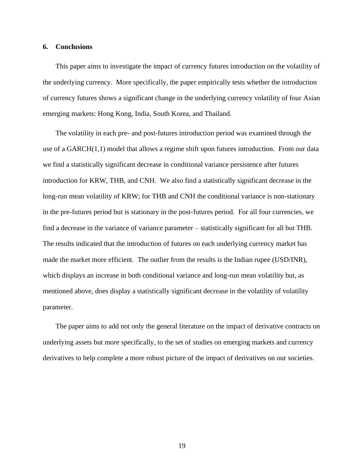#### **6. Conclusions**

This paper aims to investigate the impact of currency futures introduction on the volatility of the underlying currency. More specifically, the paper empirically tests whether the introduction of currency futures shows a significant change in the underlying currency volatility of four Asian emerging markets: Hong Kong, India, South Korea, and Thailand.

The volatility in each pre- and post-futures introduction period was examined through the use of a  $GARCH(1,1)$  model that allows a regime shift upon futures introduction. From our data we find a statistically significant decrease in conditional variance persistence after futures introduction for KRW, THB, and CNH. We also find a statistically significant decrease in the long-run mean volatility of KRW; for THB and CNH the conditional variance is non-stationary in the pre-futures period but is stationary in the post-futures period. For all four currencies, we find a decrease in the variance of variance parameter – statistically significant for all but THB. The results indicated that the introduction of futures on each underlying currency market has made the market more efficient. The outlier from the results is the Indian rupee (USD/INR), which displays an increase in both conditional variance and long-run mean volatility but, as mentioned above, does display a statistically significant decrease in the volatility of volatility parameter.

The paper aims to add not only the general literature on the impact of derivative contracts on underlying assets but more specifically, to the set of studies on emerging markets and currency derivatives to help complete a more robust picture of the impact of derivatives on our societies.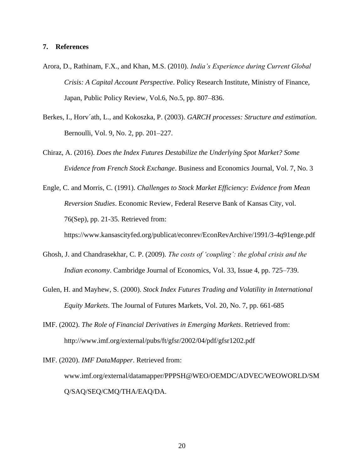#### **7. References**

- Arora, D., Rathinam, F.X., and Khan, M.S. (2010). *India's Experience during Current Global Crisis: A Capital Account Perspective*. Policy Research Institute, Ministry of Finance, Japan, Public Policy Review, Vol.6, No.5, pp. 807–836.
- Berkes, I., Horv´ath, L., and Kokoszka, P. (2003). *GARCH processes: Structure and estimation*. Bernoulli, Vol. 9, No. 2, pp. 201–227.
- Chiraz, A. (2016). *Does the Index Futures Destabilize the Underlying Spot Market? Some Evidence from French Stock Exchange*. Business and Economics Journal, Vol. 7, No. 3

Engle, C. and Morris, C. (1991). *Challenges to Stock Market Efficiency: Evidence from Mean Reversion Studies*. Economic Review, Federal Reserve Bank of Kansas City, vol. 76(Sep), pp. 21-35. Retrieved from: https://www.kansascityfed.org/publicat/econrev/EconRevArchive/1991/3-4q91enge.pdf

- Ghosh, J. and Chandrasekhar, C. P. (2009). *The costs of 'coupling': the global crisis and the Indian economy*. Cambridge Journal of Economics, Vol. 33, Issue 4, pp. 725–739.
- Gulen, H. and Mayhew, S. (2000). *Stock Index Futures Trading and Volatility in International Equity Markets*. The Journal of Futures Markets, Vol. 20, No. 7, pp. 661-685
- IMF. (2002). *The Role of Financial Derivatives in Emerging Markets*. Retrieved from: http://www.imf.org/external/pubs/ft/gfsr/2002/04/pdf/gfsr1202.pdf
- IMF. (2020). *IMF DataMapper*. Retrieved from: www.imf.org/external/datamapper/PPPSH@WEO/OEMDC/ADVEC/WEOWORLD/SM Q/SAQ/SEQ/CMQ/THA/EAQ/DA.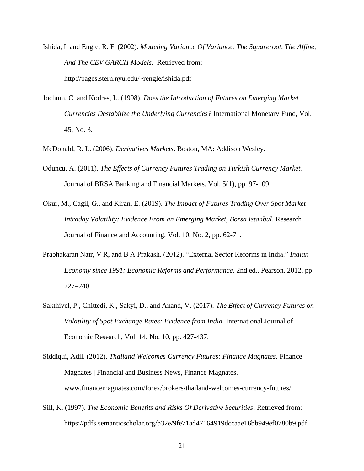- Ishida, I. and Engle, R. F. (2002). *Modeling Variance Of Variance: The Squareroot, The Affine, And The CEV GARCH Models.* Retrieved from: http://pages.stern.nyu.edu/~rengle/ishida.pdf
- Jochum, C. and Kodres, L. (1998). *Does the Introduction of Futures on Emerging Market Currencies Destabilize the Underlying Currencies?* International Monetary Fund, Vol. 45, No. 3.
- McDonald, R. L. (2006). *Derivatives Markets*. Boston, MA: Addison Wesley.
- Oduncu, A. (2011). *The Effects of Currency Futures Trading on Turkish Currency Market.*  Journal of BRSA Banking and Financial Markets, Vol. 5(1), pp. 97-109.
- Okur, M., Cagil, G., and Kiran, E. (2019). *The Impact of Futures Trading Over Spot Market Intraday Volatility: Evidence From an Emerging Market, Borsa Istanbul*. Research Journal of Finance and Accounting, Vol. 10, No. 2, pp. 62-71.
- Prabhakaran Nair, V R, and B A Prakash. (2012). "External Sector Reforms in India." *Indian Economy since 1991: Economic Reforms and Performance*. 2nd ed., Pearson, 2012, pp. 227–240.
- Sakthivel, P., Chittedi, K., Sakyi, D., and Anand, V. (2017). *The Effect of Currency Futures on Volatility of Spot Exchange Rates: Evidence from India.* International Journal of Economic Research, Vol. 14, No. 10, pp. 427-437.
- Siddiqui, Adil. (2012). *Thailand Welcomes Currency Futures: Finance Magnates*. Finance Magnates | Financial and Business News, Finance Magnates. www.financemagnates.com/forex/brokers/thailand-welcomes-currency-futures/.
- Sill, K. (1997). *The Economic Benefits and Risks Of Derivative Securities*. Retrieved from: https://pdfs.semanticscholar.org/b32e/9fe71ad47164919dccaae16bb949ef0780b9.pdf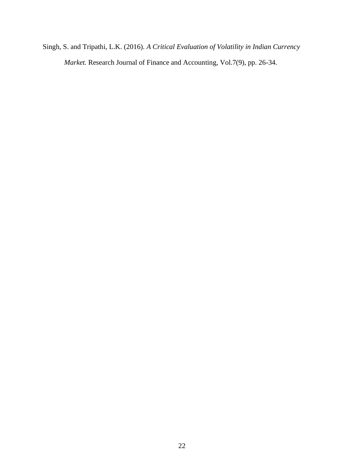Singh, S. and Tripathi, L.K. (2016). *A Critical Evaluation of Volatility in Indian Currency Market.* Research Journal of Finance and Accounting, Vol.7(9), pp. 26-34.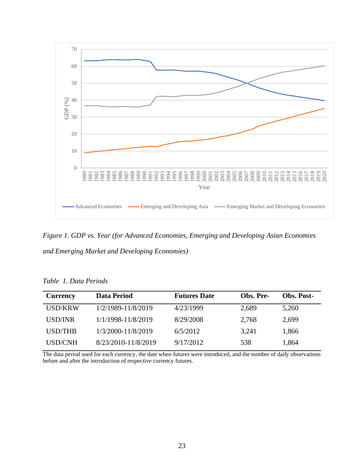

<span id="page-23-0"></span>*Figure 1. GDP vs. Year (for Advanced Economies, Emerging and Developing Asian Economies and Emerging Market and Developing Economies)*

| <b>Currency</b> | Data Period         | <b>Futures Date</b> | Obs. Pre- | <b>Obs. Post-</b> |
|-----------------|---------------------|---------------------|-----------|-------------------|
| <b>USD/KRW</b>  | 1/2/1989-11/8/2019  | 4/23/1999           | 2,689     | 5,260             |
| USD/INR         | 1/1/1998-11/8/2019  | 8/29/2008           | 2,768     | 2,699             |
| USD/THB         | 1/3/2000-11/8/2019  | 6/5/2012            | 3,241     | 1,866             |
| <b>USD/CNH</b>  | 8/23/2010-11/8/2019 | 9/17/2012           | 538       | 1,864             |

<span id="page-23-1"></span>*Table 1. Data Periods*

The data period used for each currency, the date when futures were introduced, and the number of daily observations before and after the introduction of respective currency futures.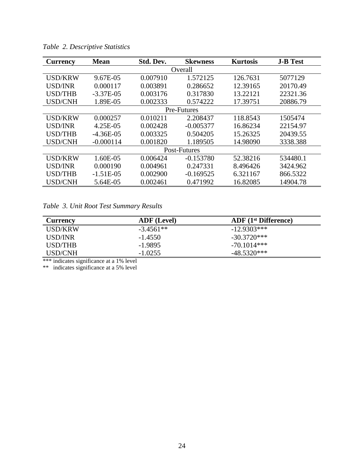| Currency       | <b>Mean</b> | Std. Dev. | <b>Skewness</b> | <b>Kurtosis</b> | <b>J-B Test</b> |  |  |
|----------------|-------------|-----------|-----------------|-----------------|-----------------|--|--|
| Overall        |             |           |                 |                 |                 |  |  |
| <b>USD/KRW</b> | 9.67E-05    | 0.007910  | 1.572125        | 126.7631        | 5077129         |  |  |
| <b>USD/INR</b> | 0.000117    | 0.003891  | 0.286652        | 12.39165        | 20170.49        |  |  |
| <b>USD/THB</b> | $-3.37E-05$ | 0.003176  | 0.317830        | 13.22121        | 22321.36        |  |  |
| <b>USD/CNH</b> | 1.89E-05    | 0.002333  | 0.574222        | 17.39751        | 20886.79        |  |  |
|                |             |           | Pre-Futures     |                 |                 |  |  |
| <b>USD/KRW</b> | 0.000257    | 0.010211  | 2.208437        | 118.8543        | 1505474         |  |  |
| <b>USD/INR</b> | 4.25E-05    | 0.002428  | $-0.005377$     | 16.86234        | 22154.97        |  |  |
| <b>USD/THB</b> | $-4.36E-05$ | 0.003325  | 0.504205        | 15.26325        | 20439.55        |  |  |
| <b>USD/CNH</b> | $-0.000114$ | 0.001820  | 1.189505        | 14.98090        | 3338.388        |  |  |
| Post-Futures   |             |           |                 |                 |                 |  |  |
| <b>USD/KRW</b> | 1.60E-05    | 0.006424  | $-0.153780$     | 52.38216        | 534480.1        |  |  |
| <b>USD/INR</b> | 0.000190    | 0.004961  | 0.247331        | 8.496426        | 3424.962        |  |  |
| <b>USD/THB</b> | $-1.51E-05$ | 0.002900  | $-0.169525$     | 6.321167        | 866.5322        |  |  |
| <b>USD/CNH</b> | 5.64E-05    | 0.002461  | 0.471992        | 16.82085        | 14904.78        |  |  |

*Table 2. Descriptive Statistics*

<span id="page-24-0"></span>*Table 3. Unit Root Test Summary Results*

| <b>Currency</b> | <b>ADF</b> (Level) | $ADF$ (1 <sup>st</sup> Difference) |
|-----------------|--------------------|------------------------------------|
| USD/KRW         | $-3.4561**$        | $-12.9303***$                      |
| USD/INR         | $-1.4550$          | $-30.3720***$                      |
| USD/THB         | $-1.9895$          | $-70.1014***$                      |
| USD/CNH         | $-1.0255$          | -48.5320***                        |

\*\*\* indicates significance at a 1% level

\*\* indicates significance at a 5% level